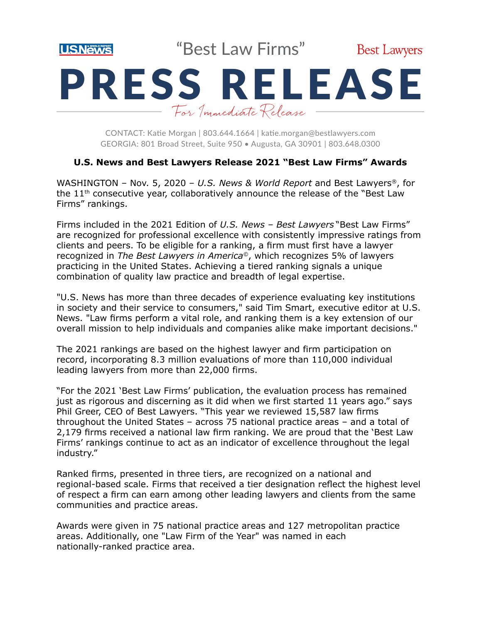

"Best Law Firms"



# PRESS RELEASE For Immediate Release

CONTACT: Katie Morgan | 803.644.1664 | [katie.morgan@bestlawyers.com](mailto:katie.morgan@bestlawyers.com) GEORGIA: 801 Broad Street, Suite 950 • Augusta, GA 30901 | 803.648.0300

# **U.S. News and Best Lawyers Release 2021 "Best Law Firms" Awards**

WASHINGTON – Nov. 5, 2020 – *U.S. News & World Report* and Best Lawyers®, for the  $11<sup>th</sup>$  consecutive year, collaboratively announce the release of the "Best Law Firms" rankings.

Firms included in the 2021 Edition of *U.S. News – Best Lawyers* "Best Law Firms" are recognized for professional excellence with consistently impressive ratings from clients and peers. To be eligible for a ranking, a firm must first have a lawyer recognized in *The Best Lawyers in America©*, which recognizes 5% of lawyers practicing in the United States. Achieving a tiered ranking signals a unique combination of quality law practice and breadth of legal expertise.

"U.S. News has more than three decades of experience evaluating key institutions in society and their service to consumers," said Tim Smart, executive editor at U.S. News. "Law firms perform a vital role, and ranking them is a key extension of our overall mission to help individuals and companies alike make important decisions."

The 2021 rankings are based on the highest lawyer and firm participation on record, incorporating 8.3 million evaluations of more than 110,000 individual leading lawyers from more than 22,000 firms.

"For the 2021 'Best Law Firms' publication, the evaluation process has remained just as rigorous and discerning as it did when we first started 11 years ago." says Phil Greer, CEO of Best Lawyers. "This year we reviewed 15,587 law firms throughout the United States – across 75 national practice areas – and a total of 2,179 firms received a national law firm ranking. We are proud that the 'Best Law Firms' rankings continue to act as an indicator of excellence throughout the legal industry."

Ranked firms, presented in three tiers, are recognized on a national and regional-based scale. Firms that received a tier designation reflect the highest level of respect a firm can earn among other leading lawyers and clients from the same communities and practice areas.

Awards were given in 75 national practice areas and 127 metropolitan practice areas. Additionally, one "Law Firm of the Year" was named in each nationally-ranked practice area.